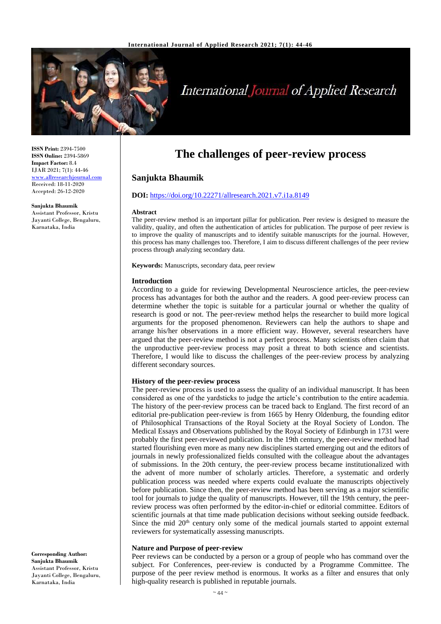

# International Journal of Applied Research

**ISSN Print:** 2394-7500 **ISSN Online:** 2394-5869 **Impact Factor:** 8.4 IJAR 2021; 7(1): 44-46 <www.allresearchjournal.com> Received: 18-11-2020 Accepted: 26-12-2020

**Sanjukta Bhaumik** Assistant Professor, Kristu Jayanti College, Bengaluru, Karnataka, India

# **The challenges of peer-review process**

# **Sanjukta Bhaumik**

# **DOI:** <https://doi.org/10.22271/allresearch.2021.v7.i1a.8149>

# **Abstract**

The peer-review method is an important pillar for publication. Peer review is designed to measure the validity, quality, and often the authentication of articles for publication. The purpose of peer review is to improve the quality of manuscripts and to identify suitable manuscripts for the journal. However, this process has many challenges too. Therefore, I aim to discuss different challenges of the peer review process through analyzing secondary data.

**Keywords:** Manuscripts, secondary data, peer review

### **Introduction**

According to a guide for reviewing Developmental Neuroscience articles, the peer-review process has advantages for both the author and the readers. A good peer-review process can determine whether the topic is suitable for a particular journal or whether the quality of research is good or not. The peer-review method helps the researcher to build more logical arguments for the proposed phenomenon. Reviewers can help the authors to shape and arrange his/her observations in a more efficient way. However, several researchers have argued that the peer-review method is not a perfect process. Many scientists often claim that the unproductive peer-review process may posit a threat to both science and scientists. Therefore, I would like to discuss the challenges of the peer-review process by analyzing different secondary sources.

#### **History of the peer-review process**

The peer-review process is used to assess the quality of an individual manuscript. It has been considered as one of the yardsticks to judge the article's contribution to the entire academia. The history of the peer-review process can be traced back to England. The first record of an editorial pre-publication peer-review is from 1665 by Henry Oldenburg, the founding editor of Philosophical Transactions of the Royal Society at the Royal Society of London. The Medical Essays and Observations published by the Royal Society of Edinburgh in 1731 were probably the first peer-reviewed publication. In the 19th century, the peer-review method had started flourishing even more as many new disciplines started emerging out and the editors of journals in newly professionalized fields consulted with the colleague about the advantages of submissions. In the 20th century, the peer-review process became institutionalized with the advent of more number of scholarly articles. Therefore, a systematic and orderly publication process was needed where experts could evaluate the manuscripts objectively before publication. Since then, the peer-review method has been serving as a major scientific tool for journals to judge the quality of manuscripts. However, till the 19th century, the peerreview process was often performed by the editor-in-chief or editorial committee. Editors of scientific journals at that time made publication decisions without seeking outside feedback. Since the mid 20<sup>th</sup> century only some of the medical journals started to appoint external reviewers for systematically assessing manuscripts.

#### **Nature and Purpose of peer-review**

Peer reviews can be conducted by a person or a group of people who has command over the subject. For Conferences, peer-review is conducted by a Programme Committee. The purpose of the peer review method is enormous. It works as a filter and ensures that only high-quality research is published in reputable journals.

**Corresponding Author: Sanjukta Bhaumik** Assistant Professor, Kristu Jayanti College, Bengaluru, Karnataka, India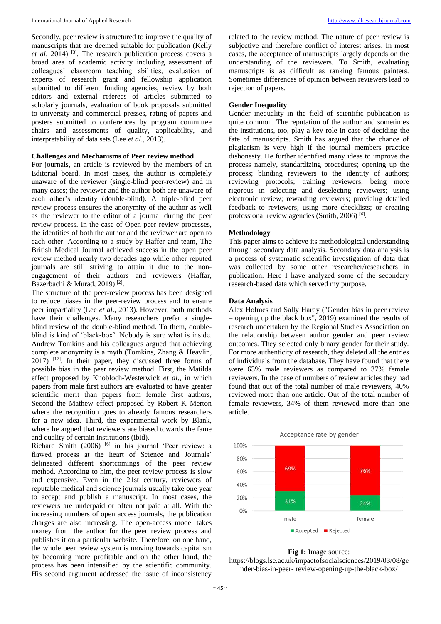#### International Journal of Applied Research [http://www.allresearchjournal.com](http://www.allresearchjournal.com/)

Secondly, peer review is structured to improve the quality of manuscripts that are deemed suitable for publication (Kelly *et al*. 2014) [3]. The research publication process covers a broad area of academic activity including assessment of colleagues' classroom teaching abilities, evaluation of experts of research grant and fellowship application submitted to different funding agencies, review by both editors and external referees of articles submitted to scholarly journals, evaluation of book proposals submitted to university and commercial presses, rating of papers and posters submitted to conferences by program committee chairs and assessments of quality, applicability, and interpretability of data sets (Lee *et al*., 2013).

# **Challenges and Mechanisms of Peer review method**

For journals, an article is reviewed by the members of an Editorial board. In most cases, the author is completely unaware of the reviewer (single-blind peer-review) and in many cases; the reviewer and the author both are unaware of each other's identity (double-blind). A triple-blind peer review process ensures the anonymity of the author as well as the reviewer to the editor of a journal during the peer review process. In the case of Open peer review processes, the identities of both the author and the reviewer are open to each other. According to a study by Haffer and team, The British Medical Journal achieved success in the open peer review method nearly two decades ago while other reputed journals are still striving to attain it due to the nonengagement of their authors and reviewers (Haffar, Bazerbachi & Murad, 2019)<sup>[2]</sup>.

The structure of the peer-review process has been designed to reduce biases in the peer-review process and to ensure peer impartiality (Lee *et al*., 2013). However, both methods have their challenges. Many researchers prefer a singleblind review of the double-blind method. To them, doubleblind is kind of 'black-box'. Nobody is sure what is inside. Andrew Tomkins and his colleagues argued that achieving complete anonymity is a myth (Tomkins, Zhang & Heavlin,  $2017$ )  $[17]$ . In their paper, they discussed three forms of possible bias in the peer review method. First, the Matilda effect proposed by Knobloch-Westerwick *et al*., in which papers from male first authors are evaluated to have greater scientific merit than papers from female first authors, Second the Mathew effect proposed by Robert K Merton where the recognition goes to already famous researchers for a new idea. Third, the experimental work by Blank, where he argued that reviewers are biased towards the fame and quality of certain institutions (ibid).

Richard Smith (2006) <sup>[6]</sup> in his journal 'Peer review: a flawed process at the heart of Science and Journals' delineated different shortcomings of the peer review method. According to him, the peer review process is slow and expensive. Even in the 21st century, reviewers of reputable medical and science journals usually take one year to accept and publish a manuscript. In most cases, the reviewers are underpaid or often not paid at all. With the increasing numbers of open access journals, the publication charges are also increasing. The open-access model takes money from the author for the peer review process and publishes it on a particular website. Therefore, on one hand, the whole peer review system is moving towards capitalism by becoming more profitable and on the other hand, the process has been intensified by the scientific community. His second argument addressed the issue of inconsistency

related to the review method. The nature of peer review is subjective and therefore conflict of interest arises. In most cases, the acceptance of manuscripts largely depends on the understanding of the reviewers. To Smith, evaluating manuscripts is as difficult as ranking famous painters. Sometimes differences of opinion between reviewers lead to rejection of papers.

# **Gender Inequality**

Gender inequality in the field of scientific publication is quite common. The reputation of the author and sometimes the institutions, too, play a key role in case of deciding the fate of manuscripts. Smith has argued that the chance of plagiarism is very high if the journal members practice dishonesty. He further identified many ideas to improve the process namely, standardizing procedures; opening up the process; blinding reviewers to the identity of authors; reviewing protocols; training reviewers; being more rigorous in selecting and deselecting reviewers; using electronic review; rewarding reviewers; providing detailed feedback to reviewers; using more checklists; or creating professional review agencies (Smith, 2006)<sup>[6]</sup>.

# **Methodology**

This paper aims to achieve its methodological understanding through secondary data analysis. Secondary data analysis is a process of systematic scientific investigation of data that was collected by some other researcher/researchers in publication. Here I have analyzed some of the secondary research-based data which served my purpose.

# **Data Analysis**

Alex Holmes and Sally Hardy ("Gender bias in peer review – opening up the black box", 2019) examined the results of research undertaken by the Regional Studies Association on the relationship between author gender and peer review outcomes. They selected only binary gender for their study. For more authenticity of research, they deleted all the entries of individuals from the database. They have found that there were 63% male reviewers as compared to 37% female reviewers. In the case of numbers of review articles they had found that out of the total number of male reviewers, 40% reviewed more than one article. Out of the total number of female reviewers, 34% of them reviewed more than one article.



# **Fig 1:** Image source:

https://blogs.lse.ac.uk/impactofsocialsciences/2019/03/08/ge nder-bias-in-peer- review-opening-up-the-black-box/